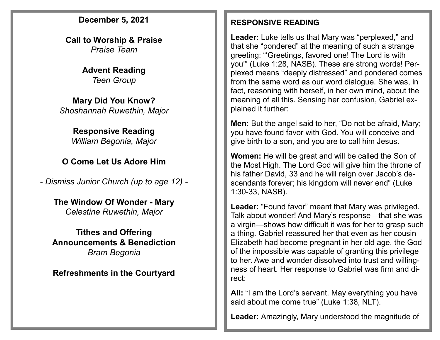#### **December 5, 2021**

**Call to Worship & Praise** *Praise Team*

> **Advent Reading** *Teen Group*

**Mary Did You Know?** *Shoshannah Ruwethin, Major*

#### **Responsive Reading**

*William Begonia, Major*

### **O Come Let Us Adore Him**

*- Dismiss Junior Church (up to age 12) -*

#### **The Window Of Wonder - Mary** *Celestine Ruwethin, Major*

**Tithes and Offering Announcements & Benediction** *Bram Begonia*

#### **Refreshments in the Courtyard**

#### **RESPONSIVE READING**

**Leader:** Luke tells us that Mary was "perplexed," and that she "pondered" at the meaning of such a strange greeting: "'Greetings, favored one! The Lord is with you'" (Luke 1:28, NASB). These are strong words! Perplexed means "deeply distressed" and pondered comes from the same word as our word dialogue. She was, in fact, reasoning with herself, in her own mind, about the meaning of all this. Sensing her confusion, Gabriel explained it further:

**Men:** But the angel said to her, "Do not be afraid, Mary; you have found favor with God. You will conceive and give birth to a son, and you are to call him Jesus.

**Women:** He will be great and will be called the Son of the Most High. The Lord God will give him the throne of his father David, 33 and he will reign over Jacob's descendants forever; his kingdom will never end" (Luke 1:30-33, NASB).

**Leader:** "Found favor" meant that Mary was privileged. Talk about wonder! And Mary's response—that she was a virgin—shows how difficult it was for her to grasp such a thing. Gabriel reassured her that even as her cousin Elizabeth had become pregnant in her old age, the God of the impossible was capable of granting this privilege to her. Awe and wonder dissolved into trust and willingness of heart. Her response to Gabriel was firm and direct:

**All:** "I am the Lord's servant. May everything you have said about me come true" (Luke 1:38, NLT).

**Leader:** Amazingly, Mary understood the magnitude of